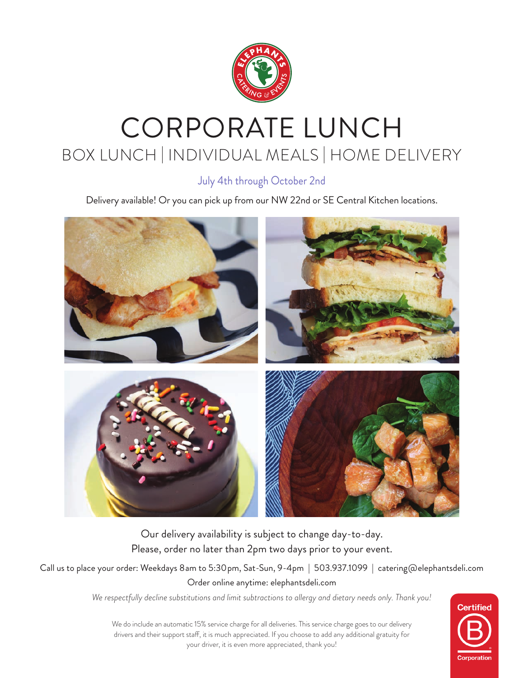

# CORPORATE LUNCH BOX LUNCH | INDIVIDUAL MEALS | HOME DELIVERY

July 4th through October 2nd

Delivery available! Or you can pick up from our NW 22nd or SE Central Kitchen locations.



Our delivery availability is subject to change day-to-day. Please, order no later than 2pm two days prior to your event.

Call us to place your order: Weekdays 8am to 5:30pm, Sat-Sun, 9-4pm | 503.937.1099 | catering@elephantsdeli.com Order online anytime: elephantsdeli.com

*We respectfully decline substitutions and limit subtractions to allergy and dietary needs only. Thank you!*



We do include an automatic 15% service charge for all deliveries. This service charge goes to our delivery drivers and their support staff, it is much appreciated. If you choose to add any additional gratuity for your driver, it is even more appreciated, thank you!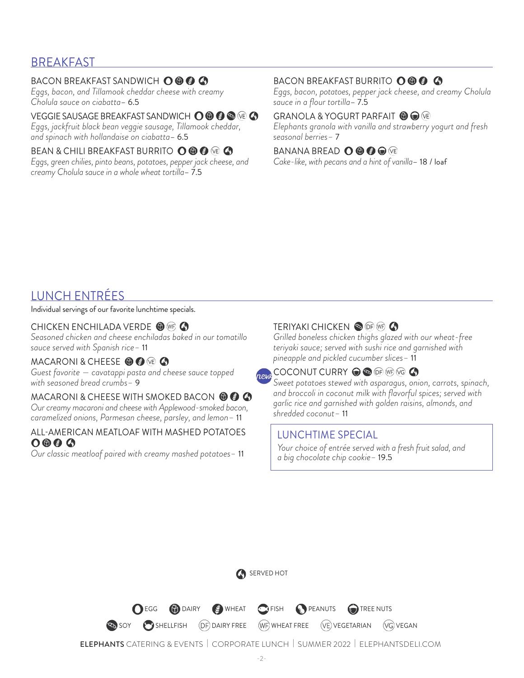### BREAKFAST

#### BACON BREAKFAST SANDWICH  $\mathbf{O} \mathbf{\odot} \mathbf{\odot} \mathbf{\odot}$

*Eggs, bacon, and Tillamook cheddar cheese with creamy Cholula sauce on ciabatta*– 6.5

## VEGGIE SAUSAGE BREAKFAST SANDWICH **O © © ©** (© A

*Eggs, jackfruit black bean veggie sausage, Tillamook cheddar, and spinach with hollandaise on ciabatta*– 6.5

### BEAN & CHILI BREAKFAST BURRITO **O © ©** @ **△**

*Eggs, green chilies, pinto beans, potatoes, pepper jack cheese, and creamy Cholula sauce in a whole wheat tortilla*– 7.5

#### BACON BREAKFAST BURRITO O © © ©

*Eggs, bacon, potatoes, pepper jack cheese, and creamy Cholula sauce in a flour tortilla*– 7.5

#### GRANOLA & YOGURT PARFAIT <sup>1</sup>  $\bullet$

*Elephants granola with vanilla and strawberry yogurt and fresh seasonal berries–* 7

### BANANA BREAD **O © © ©** VE

*Cake-like, with pecans and a hint of vanilla*– 18 / loaf

### LUNCH ENTRÉES

Individual servings of our favorite lunchtime specials.

### CHICKEN ENCHILADA VERDE <sup>1</sup>

*Seasoned chicken and cheese enchiladas baked in our tomatillo sauce served with Spanish rice–* 11

### MACARONI & CHEESE <sup>O</sup> O O C

*Guest favorite — cavatappi pasta and cheese sauce topped with seasoned bread crumbs–* 9

#### MACARONI & CHEESE WITH SMOKED BACON **© © 4**

*Our creamy macaroni and cheese with Applewood-smoked bacon, caramelized onions, Parmesan cheese, parsley, and lemon–* 11

#### ALL-AMERICAN MEATLOAF WITH MASHED POTATOES  $0000$

*Our classic meatloaf paired with creamy mashed potatoes–* 11

### TERIYAKI CHICKEN OF **OF WE**

*Grilled boneless chicken thighs glazed with our wheat-free teriyaki sauce; served with sushi rice and garnished with pineapple and pickled cucumber slices–* 11



*Sweet potatoes stewed with asparagus, onion, carrots, spinach, and broccoli in coconut milk with flavorful spices; served with garlic rice and garnished with golden raisins, almonds, and shredded coconut–* 11

### LUNCHTIME SPECIAL

 *Your choice of entrée served with a fresh fruit salad, and a big chocolate chip cookie–* 19.5

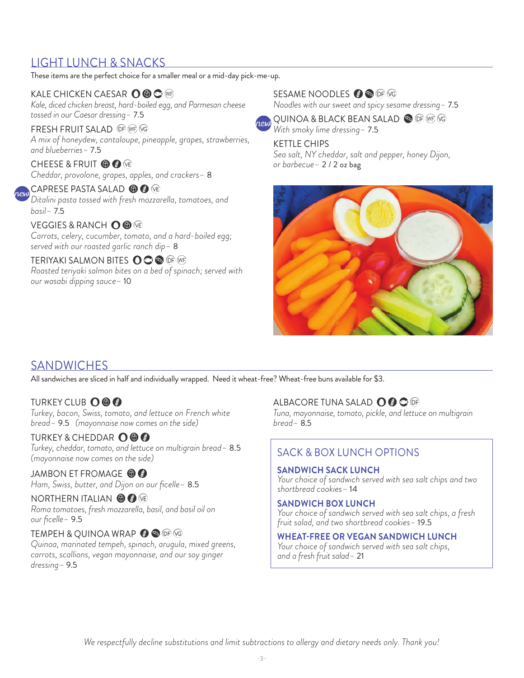### LIGHT LUNCH & SNACKS

These items are the perfect choice for a smaller meal or a mid-day pick-me-up.

### KALE CHICKEN CAESAR O © C WB

*Kale, diced chicken breast, hard-boiled egg, and Parmesan cheese tossed in our Caesar dressing–* 7.5

#### FRESH FRUIT SALAD OF WE VG

*A mix of honeydew, cantaloupe, pineapple, grapes, strawberries, and blueberries–* 7.5

CHEESE & FRUIT **to @** VE *Cheddar, provolone, grapes, apples, and crackers–* 8

### **CAPRESE PASTA SALAD @ @** @

*Ditalini pasta tossed with fresh mozzarella, tomatoes, and basil–* 7.5

VEGGIES & RANCH O © VE *Carrots, celery, cucumber, tomato, and a hard-boiled egg; served with our roasted garlic ranch dip–* 8

#### TERIYAKI SALMON BITES OCCO OF WF *Roasted teriyaki salmon bites on a bed of spinach; served with our wasabi dipping sauce–* 10

### SESAME NOODLES @ **®** OF *V*G

*Noodles with our sweet and spicy sesame dressing–* 7.5



QUINOA & BLACK BEAN SALAD @ OF WF VG *With smoky lime dressing–* 7.5

#### KETTLE CHIPS

*Sea salt, NY cheddar, salt and pepper, honey Dijon, or barbecue–* 2 / 2 oz bag



### **SANDWICHES**

All sandwiches are sliced in half and individually wrapped. Need it wheat-free? Wheat-free buns available for \$3.

### **TURKEY CLUB OOO**

*Turkey, bacon, Swiss, tomato, and lettuce on French white bread–* 9.5 *(mayonnaise now comes on the side)*

#### TURKEY & CHEDDAR OOO

*Turkey, cheddar, tomato, and lettuce on multigrain bread–* 8.5 *(mayonnaise now comes on the side)*

JAMBON ET FROMAGE © © *Ham, Swiss, butter, and Dijon on our ficelle–* 8.5

#### NORTHERN ITALIAN **@ @** (VE)

*Roma tomatoes, fresh mozzarella, basil, and basil oil on our ficelle–* 9.5

#### TEMPEH & QUINOA WRAP  $\bigcirc$  or  $\circledcirc$

*Quinoa, marinated tempeh, spinach, arugula, mixed greens, carrots, scallions, vegan mayonnaise, and our soy ginger dressing–* 9.5

### ALBACORE TUNA SALAD O @ O <sub>[6]</sub>

*Tuna, mayonnaise, tomato, pickle, and lettuce on multigrain bread–* 8.5

### SACK & BOX LUNCH OPTIONS

#### **SANDWICH SACK LUNCH**

 *Your choice of sandwich served with sea salt chips and two shortbread cookies–* 14

#### **SANDWICH BOX LUNCH**

 *Your choice of sandwich served with sea salt chips, a fresh fruit salad, and two shortbread cookies–* 19.5

#### **WHEAT-FREE OR VEGAN SANDWICH LUNCH**

 *Your choice of sandwich served with sea salt chips, and a fresh fruit salad–* 21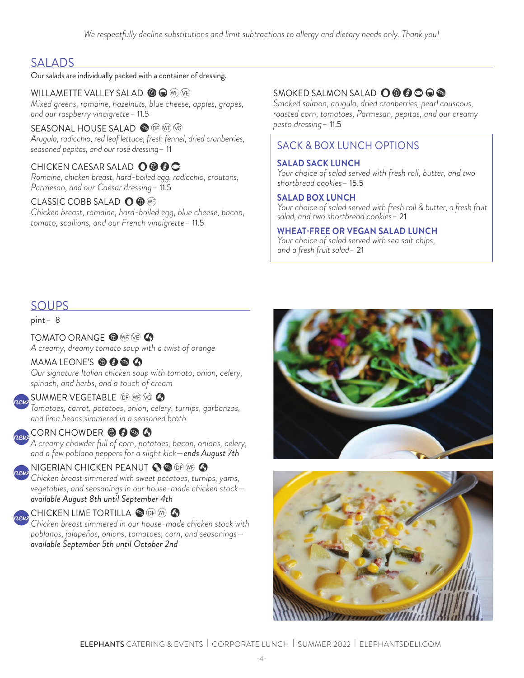### **SALADS**

#### Our salads are individually packed with a container of dressing.

WILLAMETTE VALLEY SALAD **6 C** WB VB *Mixed greens, romaine, hazelnuts, blue cheese, apples, grapes, and our raspberry vinaigrette–* 11.5

SEASONAL HOUSE SALAD **SO OF WE VG** *Arugula, radicchio, red leaf lettuce, fresh fennel, dried cranberries, seasoned pepitas, and our rosé dressing–* 11

CHICKEN CAESAR SALAD **O © © ©** *Romaine, chicken breast, hard-boiled egg, radicchio, croutons, Parmesan, and our Caesar dressing–* 11.5

#### CLASSIC COBB SALAD **O @** WP

*Chicken breast, romaine, hard-boiled egg, blue cheese, bacon, tomato, scallions, and our French vinaigrette–* 11.5

### SMOKED SALMON SALAD **O © © © ©**

*Smoked salmon, arugula, dried cranberries, pearl couscous, roasted corn, tomatoes, Parmesan, pepitas, and our creamy pesto dressing–* 11.5

### SACK & BOX LUNCH OPTIONS

#### **SALAD SACK LUNCH**

 *Your choice of salad served with fresh roll, butter, and two shortbread cookies–* 15.5

#### **SALAD BOX LUNCH**

 *Your choice of salad served with fresh roll & butter, a fresh fruit salad, and two shortbread cookies–* 21

#### **WHEAT-FREE OR VEGAN SALAD LUNCH**

 *Your choice of salad served with sea salt chips, and a fresh fruit salad–* 21

### SOUPS

pint*–* 8

TOMATO ORANGE <sup>O</sup> WE VE **4** *A creamy, dreamy tomato soup with a twist of orange*

#### MAMA LEONE'S **O @ @ @**

*Our signature Italian chicken soup with tomato, onion, celery, spinach, and herbs, and a touch of cream*

#### SUMMER VEGETABLE OF WE VG CO

*Tomatoes, carrot, potatoes, onion, celery, turnips, garbanzos, and lima beans simmered in a seasoned broth* 

CORN CHOWDER **O O O** 

*A creamy chowder full of corn, potatoes, bacon, onions, celery, and a few poblano peppers for a slight kick—ends August 7th*

### NIGERIAN CHICKEN PEANUT  $\bullet$  .  $\bullet$  of we  $\bullet$

*Chicken breast simmered with sweet potatoes, turnips, yams, vegetables, and seasonings in our house-made chicken stock available August 8th until September 4th*

### **CHICKEN LIME TORTILLA & OF WF 4**

*Chicken breast simmered in our house-made chicken stock with poblanos, jalapeños, onions, tomatoes, corn, and seasonings available September 5th until October 2nd*



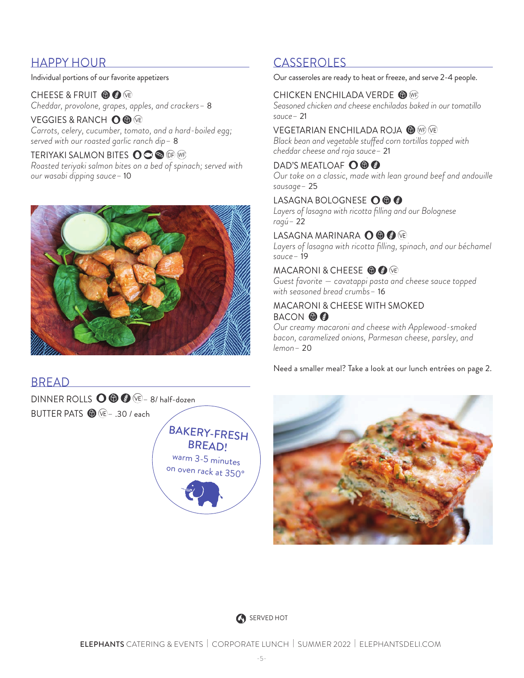### HAPPY HOUR CASSEROLES

Individual portions of our favorite appetizers

CHEESE & FRUIT **to @** (VE) *Cheddar, provolone, grapes, apples, and crackers–* 8

VEGGIES & RANCH **O ©** VE *Carrots, celery, cucumber, tomato, and a hard-boiled egg; served with our roasted garlic ranch dip–* 8

TERIYAKI SALMON BITES OOOO OP WP *Roasted teriyaki salmon bites on a bed of spinach; served with our wasabi dipping sauce–* 10



#### Our casseroles are ready to heat or freeze, and serve 2-4 people.

#### CHICKEN ENCHILADA VERDE <sup>O WR</sup>

*Seasoned chicken and cheese enchiladas baked in our tomatillo sauce–* 21

#### VEGETARIAN ENCHILADA ROJA @ WR VE

*Black bean and vegetable stuffed corn tortillas topped with cheddar cheese and roja sauce–* 21

#### DAD'S MEATLOAF **O © ©**

*Our take on a classic, made with lean ground beef and andouille sausage–* 25

### LASAGNA BOLOGNESE O © ©

*Layers of lasagna with ricotta filling and our Bolognese ragú–* 22

#### LASAGNA MARINARA O © © VE

Layers of lasagna with ricotta filling, spinach, and our béchamel *sauce–* 19

#### MACARONI & CHEESE **O @** VE

*Guest favorite — cavatappi pasta and cheese sauce topped with seasoned bread crumbs–* 16

#### MACARONI & CHEESE WITH SMOKED BACON **OO**

*Our creamy macaroni and cheese with Applewood-smoked bacon, caramelized onions, Parmesan cheese, parsley, and lemon–* 20

Need a smaller meal? Take a look at our lunch entrées on page 2.

### BREAD

DINNER ROLLS  $\bigcirc$   $\bigcirc$   $\bigcirc$   $\bigcirc$   $\rightarrow$  8/ half-dozen BUTTER PATS *–* .30 / each







ELEPHANTS CATERING & EVENTS | CORPORATE LUNCH | SUMMER 2022 | ELEPHANTSDELI.COM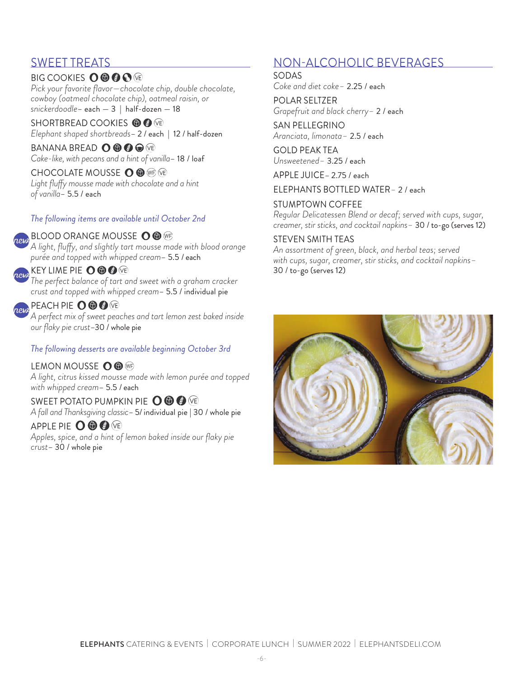### SWEET TREATS

#### BIG COOKIES **O © © O** VE *Pick your favorite flavor—chocolate chip, double chocolate, cowboy (oatmeal chocolate chip), oatmeal raisin, or snickerdoodle*– each — 3 | half-dozen — 18

SHORTBREAD COOKIES **O O @** *Elephant shaped shortbreads*– 2 / each | 12 / half-dozen

BANANA BREAD **O © © ©** VE *Cake-like, with pecans and a hint of vanilla*– 18 / loaf

CHOCOLATE MOUSSE O **O** WP VE *Light fluffy mousse made with chocolate and a hint of vanilla*– 5.5 / each

#### *The following items are available until October 2nd*

#### BLOOD ORANGE MOUSSE O O WF

*A light, fluffy, and slightly tart mousse made with blood orange purée and topped with whipped cream*– 5.5 / each

#### KEY LIME PIE O ® ® VE

*The perfect balance of tart and sweet with a graham cracker crust and topped with whipped cream*– 5.5 / individual pie

#### PEACH PIE O **O O**

*A perfect mix of sweet peaches and tart lemon zest baked inside our flaky pie crust*–30 / whole pie

#### *The following desserts are available beginning October 3rd*

LEMON MOUSSE O ® WE *A light, citrus kissed mousse made with lemon purée and topped with whipped cream*– 5.5 / each

### SWEET POTATO PUMPKIN PIE O ® ® VE

*A fall and Thanksgiving classic*– 5/ individual pie | 30 / whole pie

APPLE PIE O ® © VE

*Apples, spice, and a hint of lemon baked inside our flaky pie crust*– 30 / whole pie

### NON-ALCOHOLIC BEVERAGES

SODAS

*Coke and diet coke–* 2.25 / each

POLAR SELTZER *Grapefruit and black cherry–* 2 / each

SAN PELLEGRINO *Aranciata, limonata–* 2.5 / each

GOLD PEAK TEA *Unsweetened–* 3.25 / each

APPLE JUICE– 2.75 / each

ELEPHANTS BOTTLED WATER*–* 2 / each

#### STUMPTOWN COFFEE

*Regular Delicatessen Blend or decaf; served with cups, sugar, creamer, stir sticks, and cocktail napkins–* 30 / to-go (serves 12)

#### STEVEN SMITH TEAS

*An assortment of green, black, and herbal teas; served with cups, sugar, creamer, stir sticks, and cocktail napkins–*  30 / to-go (serves 12)